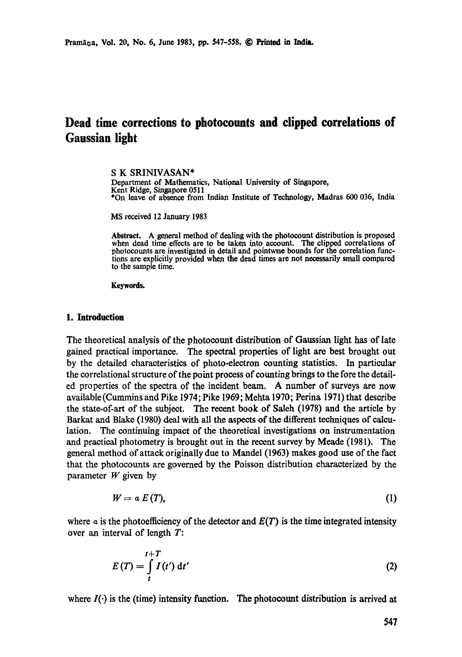# **Dead time corrections to photocounts and dipped correlations of**  Gaussian light

**S K** SRINIVASAN\* Department of Mathematics, National University of Singapore, Kent Ridge, Singapore 0511 \*On leave of absence from Indian Institute of Technology, Madras 600 036, India

MS received 12 January 1983

**Abstract.** A general method of dealing with the photocount distribution is proposed when dead time effects are to be taken into account. The clipped correlations of photocounts are investigated in detail and pointwise bounds for the correlation functions are explicitly provided when the dead times are not necessarily small compared to the sample time.

Keywords.

### 1. Introduction

The theoretical analysis of the photocount distribution of Gaussiaa light has of late gained practical importance. The spectral properties of light are best brought out by the detailed characteristics of photo-electron counting statistics. In particular the correlational structure of the point process of counting brings to the fore the detailed properties of the spectra of the incident beam. A number of surveys are now available (Cummins and Pike 1974; Pike 1969; Mehta 1970; Perina 1971) that describe the state-of-art of the subject. The recent book of Saleh (1978) and the article by Barkat and Blake (1980) deal with all the aspects of the different techniques of calculation. The continuing impact of the theoretical investigations on instrumentation and practical photometry is brought out in the recent survey by Meade (1981). The general method of attack originally due to Mandel (1963) makes good use of the fact that the photocounts are governed by the Poisson distribution characterized by the parameter  $W$  given by

$$
W = a E(T), \tag{1}
$$

where  $\alpha$  is the photoefficiency of the detector and  $E(T)$  is the time integrated intensity over an interval of length T:

$$
E(T) = \int_{t}^{t+T} I(t') dt'
$$
 (2)

where  $I(\cdot)$  is the (time) intensity function. The photocount distribution is arrived at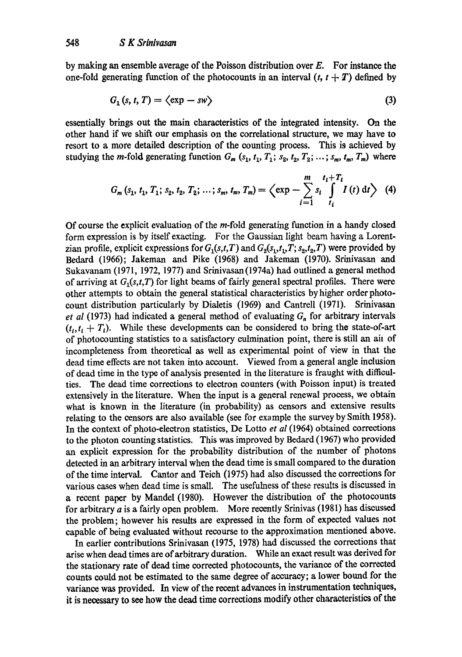by making an ensemble average of the Poisson distribution over  $E$ . For instance the one-fold generating function of the photocounts in an interval  $(t, t + T)$  defined by

$$
G_1(s, t, T) = \langle \exp - sw \rangle \tag{3}
$$

essentially brings out the main characteristics of the integrated intensity. On the other hand if we shift our emphasis on the correlational structure, we may have to resort to a more detailed description of the counting process. This is achieved by studying the *m*-fold generating function  $G_m$  ( $s_1$ ,  $t_1$ ,  $T_1$ ;  $s_2$ ,  $t_2$ ,  $T_2$ ; ...;  $s_m$ ,  $t_m$ ,  $T_m$ ) where

$$
G_m(s_1, t_1, T_1; s_2, t_2, T_2; \ldots; s_m, t_m, T_m) = \left\langle \exp - \sum_{i=1}^m s_i \int_{t_i}^{t_i + T_i} I(t) dt \right\rangle \tag{4}
$$

Of course the explicit evaluation of the m-fold generating function in a handy closed form expression is by itself exacting. For the Gaussian light beam having a Lorentzian profile, explicit expressions for  $G_1(s,t,T)$  and  $G_2(s_1,t_1,T; s_2,t_2,T)$  were provided by Bedard (1966); Jakeman and Pike (1968) and Jakeman (1970). Srinivasan and Sukavanam (1971, 1972, 1977) and Srinivasan (1974a) had outlined a general method of arriving at  $G_1(s,t,T)$  for light beams of fairly general spectral profiles. There were other attempts to obtain the general statistical characteristics by higher order photocount distribution particularly by Dialetis (1969) and Cantrell (1971). Srinivasan *et al* (1973) had indicated a general method of evaluating  $G_n$  for arbitrary intervals  $(t_1, t_1 + T_1)$ . While these developments can be considered to bring the state-of-art of photocounting statistics to a satisfactory culmination point, there is still an air of incompleteness from theoretical as well as experimental point of view in that the dead time effects are not taken into account. Viewed from a general angle inclusion of dead time in the type of analysis presented in the literature is fraught with difficulties. The dead time corrections to electron counters (with Poisson input) is treated extensively in the literature. When the input is a general renewal process, we obtain what is known in the literature (in probability) as censors and extensive results relating to the censors are also available (see for example the survey by Smith 1958). In the context of photo-electron statistics, De Lotto *et al* (1964) obtained corrections to the photon counting statistics. This was improved by Bedard (1967) who provided an explicit expression for the probability distribution of the number of photons detected in an arbitrary interval when the dead time is small compared to the duration of the time interval. Cantor and Teich (1975) had also discussed the corrections for various cases when dead time is small. The usefulness of these results is discussed in a recent paper by Mandel (1980). However the distribution of the photocounts for arbitrary  $a$  is a fairly open problem. More recently Srinivas (1981) has discussed the problem; however his results are expressed in the form of expected values not capable of being evaluated without recourse to the approximation mentioned above.

In earlier contributions Srinivasan (1975, 1978) had discussed the corrections that arise when dead times are of arbitrary duration. While an exact result was derived for the stationary rate of dead time corrected photocounts, the variance of the corrected counts could not be estimated to the same degree of accuracy; a lower bound for the variance was provided. In view of the recent advances in instrumentation techniques, it is necessary to see how the dead time corrections modify other characteristics of the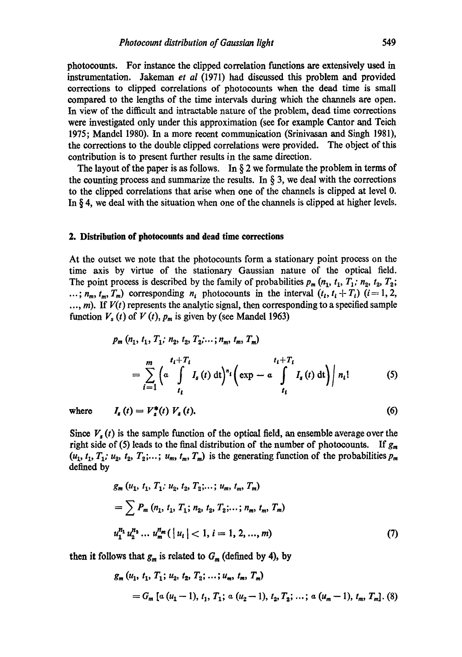photooounts. For instance the clipped correlation functions are extensively used in instrumentation. Jakeman *et al* (1971) had discussed this problem and provided corrections to clipped correlations of photoeounts when the dead time is small compared to the lengths of the time intervals during which the channels are open. In view of the difficult and intractable nature of the problem, dead time corrections were investigated only under this approximation (see for example Cantor and Teich 1975; Mandel 1980). In a more recent communication (Srinivasan and Singh 1981), the corrections to the double clipped correlations were provided. The object of this contribution is to present further results in the same direction.

The layout of the paper is as follows. In  $\S$  2 we formulate the problem in terms of the counting process and summarize the results. In  $\S$  3, we deal with the corrections to the clipped correlations that arise when one of the channels is dipped at level 0. In § 4, we deal with the situation when one of the channels is clipped at higher levels.

#### **2. Distribution of photocounts and dead time corrections**

At the outset we note that the photoeounts form a stationary point process on the time axis by virtue of the stationary Gaussian natme of the optical field. The point process is described by the family of probabilities  $p_m$  ( $n_1$ ,  $t_1$ ,  $T_1$ ;  $n_2$ ,  $t_2$ ,  $T_2$ ; ...;  $n_m$ ,  $t_m$ ,  $T_m$ ) corresponding  $n_i$  photocounts in the interval  $(t_i, t_i + T_i)$  (i= 1, 2,  $..., m$ ). If  $V(t)$  represents the analytic signal, then corresponding to a specified sample function  $V_s(t)$  of  $V(t)$ ,  $p_m$  is given by (see Mandel 1963)

$$
p_m (n_1, t_1, T_1; n_2, t_2, T_2; ...; n_m, t_m, T_m)
$$
  
= 
$$
\sum_{i=1}^m \left( \alpha \int_{t_1}^{t_1+T_i} I_s(t) dt \right)^{n_i} \left( \exp - \alpha \int_{t_1}^{t_1+T_i} I_s(t) dt \right) \Big| n_i!
$$
 (5)

where 
$$
I_s(t) = V_s^*(t) V_s(t)
$$
. (6)

Since  $V<sub>s</sub>(t)$  is the sample function of the optical field, an ensemble average over the right side of (5) leads to the final distribution of the number of photocounts. If  $g_m$  $(u_1, t_1, T_1; u_2, t_2, T_2; \ldots; u_m, t_m, T_m)$  is the generating function of the probabilities  $p_m$ defined by

$$
g_m (u_1, t_1, T_1; u_2, t_2, T_2; \dots; u_m, t_m, T_m)
$$
  
=  $\sum P_m (n_1, t_1, T_1; n_2, t_2, T_2; \dots; n_m, t_m, T_m)$   
 $u_1^{n_1} u_2^{n_2} \dots u_m^{n_m} (\vert u_i \vert < 1, i = 1, 2, \dots, m)$  (7)

then it follows that  $g_m$  is related to  $G_m$  (defined by 4), by

$$
g_m (u_1, t_1, T_1; u_2, t_2, T_2; ...; u_m, t_m, T_m)
$$
  
=  $G_m [a (u_1 - 1), t_1, T_1; a (u_2 - 1), t_2, T_2; ...; a (u_m - 1), t_m, T_m]. (8)$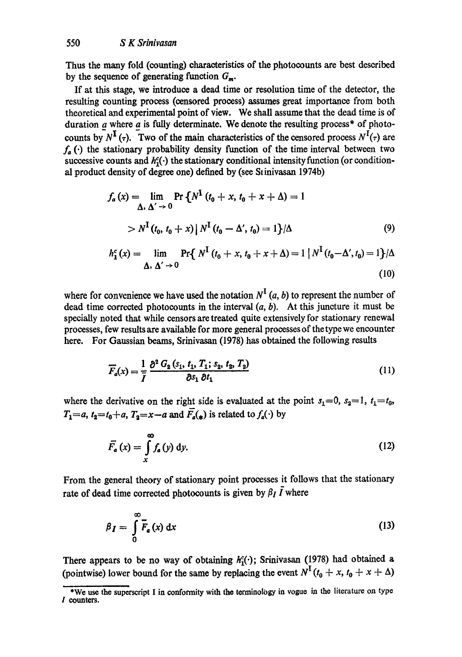Thus the many fold (counting) characteristics of the photocounts are best described by the sequence of generating function  $G_m$ .

If at this stage, we introduce a dead time or resolution time of the detector, the resulting counting process (censored process) assumes great importance from both theoretical and experimental point of view. We shall assume that the dead time is of duration  $a$  where  $a$  is fully determinate. We denote the resulting process\* of photocounts by  $N^{\mathbf{I}}(\tau)$ . Two of the main characteristics of the censored process  $N^{\mathbf{I}}(\tau)$  are  $f_a(\cdot)$  the stationary probability density function of the time interval between two successive counts and  $h_1^c(\cdot)$  the stationary conditional intensity function (or conditional product density of degree one) defined by (see Stinivasan 1974b)

$$
f_a(x) = \lim_{\Delta \, , \, \Delta' \to 0} \Pr \{ N^{\mathbf{I}} \left( t_0 + x, t_0 + x + \Delta \right) = 1
$$
  
>  $N^{\mathbf{I}} \left( t_0, t_0 + x \right) | N^{\mathbf{I}} \left( t_0 - \Delta', t_0 \right) = 1 \} / \Delta$  (9)

$$
h_1^c(x) = \lim_{\Delta_1, \Delta' \to 0} \Pr\{ N^I(t_0 + x, t_0 + x + \Delta) = 1 | N^I(t_0 - \Delta', t_0) = 1 \} / \Delta
$$
\n(10)

where for convenience we have used the notation  $N^I(a, b)$  to represent the number of dead time corrected photocounts in the interval  $(a, b)$ . At this juncture it must be specially noted that while censors are treated quite extensively for stationary renewal processes, few results are available for more general processes of the type we encounter here. For Gaussian beams, Srinivasan (1978) has obtained the following results

$$
\overline{F}_a(x) = \frac{1}{\overline{I}} \frac{\partial^2 G_2 \left(s_1, t_1, T_1; s_2, t_2, T_2\right)}{\partial s_1 \partial t_1} \tag{11}
$$

where the derivative on the right side is evaluated at the point  $s_1=0, s_2=1, t_1=t_0$ ,  $T_1=a, t_2=t_0+a, T_2=x-a$  and  $\overline{F}_a(x)$  is related to  $f_a(\cdot)$  by

$$
\overline{F}_a(x) = \int_x^\infty f_a(y) \, \mathrm{d}y. \tag{12}
$$

From the general theory of stationary point processes it follows that the stationary rate of dead time corrected photocounts is given by  $\beta_I \bar{I}$  where

$$
\beta_I = \int\limits_0^\infty \overline{F}_a(x) \, \mathrm{d}x \tag{13}
$$

There appears to be no way of obtaining  $h_1^c(\cdot)$ ; Srinivasan (1978) had obtained a (pointwise) lower bound for the same by replacing the event  $N^{\text{I}}$  ( $t_0 + x$ ,  $t_0 + x + \Delta$ )

<sup>\*</sup>We use the superscript I in conformity with the terminology in vogue in the literature on type I counters.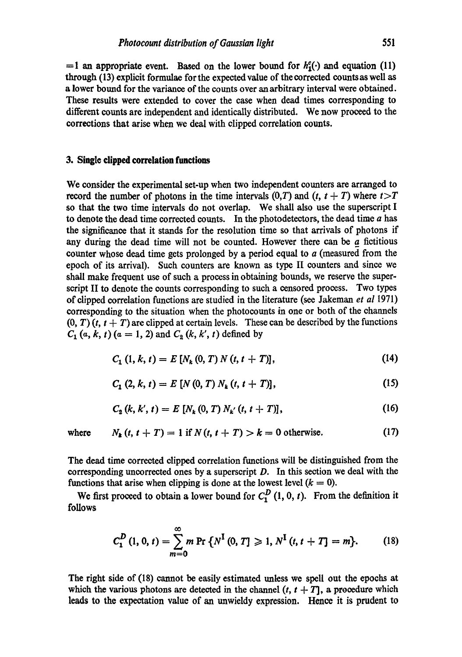$=1$  an appropriate event. Based on the lower bound for  $h_1^c()$  and equation (11) through (13) explicit formulae for the expected value of the corrected counts as well as a lower bound for the variance of the counts over an arbitrary interval were obtained. These results were extended to cover the case when dead times corresponding to different counts are independent and identically distributed. We now proceed to the corrections that arise when we deal with clipped correlation counts.

#### **3. Single clipped correlation functions**

We consider the experimental set-up when two independent counters are arranged to record the number of photons in the time intervals  $(0,T)$  and  $(t, t + T)$  where  $t > T$ so that the two time intervals do not overlap. We shall also use the superscript I to denote the dead time corrected counts. In the photodetectors, the dead time  $a$  has the significance that it stands for the resolution time so that arrivals of photons if any during the dead time will not be counted. However there can be  $a$  fictitious counter whose dead time gets prolonged by a period equal to  $a$  (measured from the epoch of its arrival). Such counters are known as type II counters and since we shall make frequent use of such a process in obtaining bounds, we reserve the superscript II to denote the counts corresponding to such a censored process. Two types of clipped correlation functions are studied in the literature (see Jakeman *et al* 1971) corresponding to the situation when the photocounts in one or both of the channels  $(0, T)$  (t,  $t + T$ ) are clipped at certain levels. These can be described by the functions  $C_1(a, k, t)$  (a = 1, 2) and  $C_2(k, k', t)$  defined by

$$
C_1 (1, k, t) = E [N_k (0, T) N (t, t + T)], \qquad (14)
$$

$$
C_1(2, k, t) = E[N(0, T) N_k(t, t + T)],
$$
\n(15)

$$
C_2 (k, k', t) = E [N_k (0, T) N_{k'} (t, t + T)], \qquad (16)
$$

where 
$$
N_k(t, t + T) = 1
$$
 if  $N(t, t + T) > k = 0$  otherwise. (17)

The dead time corrected clipped correlation functions will be distinguished from the corresponding uncorrected ones by a superscript D. In this section we deal with the functions that arise when clipping is done at the lowest level  $(k = 0)$ .

We first proceed to obtain a lower bound for  $C_1^D$  (1, 0, t). From the definition it follows

$$
C_1^D(1, 0, t) = \sum_{m=0}^{\infty} m \Pr \{ N^I(0, T] \geq 1, N^I(t, t + T] = m \}.
$$
 (18)

The right side of (18) cannot be easily estimated unless we spell out the epochs at which the various photons are detected in the channel  $(t, t + T)$ , a procedure which leads to the expectation value of an unwieldy expression. Hence it is prudent to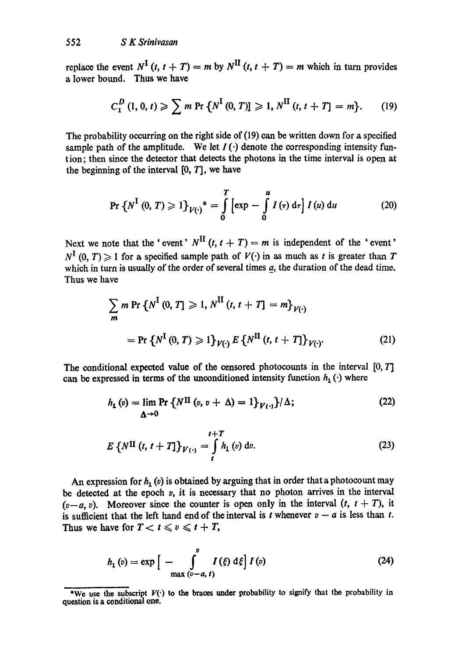replace the event  $N^{\text{I}}(t, t + T) = m$  by  $N^{\text{II}}(t, t + T) = m$  which in turn provides a lower bound. Thus we have

$$
C_1^D(1,0,t) \geqslant \sum m \Pr \left\{ N^{\text{I}}(0,T) \right\} \geqslant 1, N^{\text{II}}(t,t+T] = m \}. \tag{19}
$$

The probability occurring on the right side of (19) can be written down for a specified sample path of the amplitude. We let  $I(\cdot)$  denote the corresponding intensity funtion; then since the detector that detects the photons in the time interval is open at the beginning of the interval  $[0, T]$ , we have

$$
\Pr\left\{N^{\mathrm{I}}\left(0,T\right)\geqslant 1\right\}_{V(\cdot)}{}^*=\int\limits_{0}^{T}\left[\exp\,-\int\limits_{0}^{u}I\left(\tau\right)\mathrm{d}\tau\right]I\left(u\right)\mathrm{d}u\qquad \qquad (20)
$$

Next we note that the ' event'  $N^{\text{II}}(t, t + T) = m$  is independent of the ' event'  $N^{\mathbf{I}}(0, T) \geq 1$  for a specified sample path of  $V(\cdot)$  in as much as t is greater than T which in turn is usually of the order of several times  $a$ , the duration of the dead time. Thus we have

$$
\sum_{m} m \Pr \{ N^{I} (0, T] \geq 1, N^{II} (t, t + T] = m \}_{V(\cdot)}
$$
  
=  $\Pr \{ N^{I} (0, T) \geq 1 \}_{V(\cdot)} E \{ N^{II} (t, t + T] \}_{V(\cdot)}.$  (21)

The conditional expected value of the censored photocounts in the interval [0, T] can be expressed in terms of the unconditioned intensity function  $h_1(\cdot)$  where

$$
h_1(v) = \lim_{\Delta \to 0} \Pr \left\{ N^{\Pi} (v, v + \Delta) = 1 \right\} \gamma_{(1)} / \Delta; \tag{22}
$$

$$
E\left\{N^{II}\left(t, t+T\right]\right\}_{V(\cdot)} = \int\limits_{t}^{t+T} h_1\left(v\right) \mathrm{d}v. \tag{23}
$$

An expression for  $h_1(v)$  is obtained by arguing that in order that a photocount may be detected at the epoch  $v$ , it is necessary that no photon arrives in the interval  $(v-a, v)$ . Moreover since the counter is open only in the interval  $(t, t + T)$ , it is sufficient that the left hand end of the interval is t whenever  $v - a$  is less than t. Thus we have for  $T < t \le v \le t + T$ ,

$$
h_1(v) = \exp\Big[-\int_{\max\{v-a,\ t\}}^v I(\xi) d\xi\Big] I(v) \tag{24}
$$

<sup>\*</sup>We use the subscript  $V(\cdot)$  to the braces under probability to signify that the probability in question is a conditional one.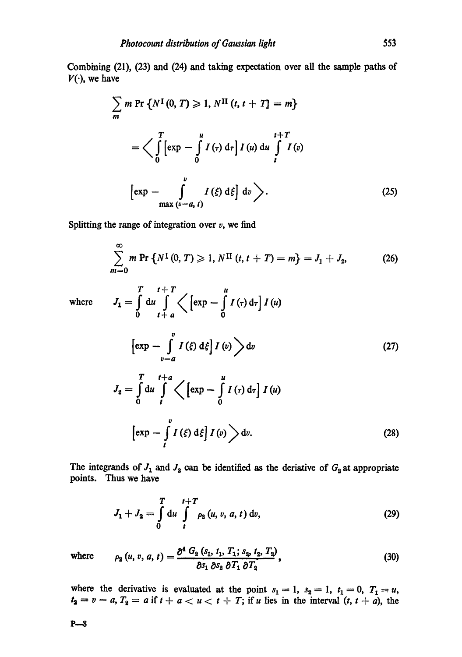Combining (21), (23) and (24) and taking expectation over all the sample paths of  $V(\cdot)$ , we have

$$
\sum_{m} m \Pr \{ N^{I}(0, T) \geq 1, N^{II}(t, t + T) = m \}
$$
  

$$
= \Big\langle \int_{0}^{T} \left[ exp - \int_{0}^{u} I(r) dr \right] I(u) du \int_{t}^{t+T} I(v)
$$
  

$$
\left[ exp - \int_{\max\left(v-a, t\right)}^{v} I(\xi) d\xi \right] dv \Big\rangle.
$$
 (25)

Splitting the range of integration over  $v$ , we find

 $T \t t+T$  *u* 

 $J_1 = \int du \int \langle e x p - \int I(r) d\tau | I(u) \rangle$ 

$$
\sum_{m=0}^{\infty} m \Pr \left\{ N^{\text{I}}(0, T) \geq 1, N^{\text{II}}(t, t + T) = m \right\} = J_1 + J_2, \tag{26}
$$

where

$$
\left[\exp\left(-\int_{v-a}^{v} I\left(\xi\right) d\xi\right] I\left(v\right)\right) dv
$$
\n
$$
\left[\exp\left(-\int_{v-a}^{v} I\left(\xi\right) d\xi\right] I\left(v\right)\right) dv
$$
\n(27)

$$
J_2 = \int_0^v du \int_t^v \left\langle \left[ \exp - \int_0^v I(r) \, d\tau \right] I(u) \right\rangle
$$

$$
\left[ \exp - \int_t^v I(\xi) \, d\xi \right] I(v) \right\rangle dv. \tag{28}
$$

The integrands of  $J_1$  and  $J_2$  can be identified as the deriative of  $G_2$  at appropriate points. Thus we have

$$
J_1 + J_2 = \int_0^T du \int_t^{t+T} \rho_2(u, v, a, t) dv,
$$
 (29)

where 
$$
\rho_2(u, v, a, t) = \frac{\partial^4 G_2(s_1, t_1, T_1; s_2, t_2, T_2)}{\partial s_1 \partial s_2 \partial T_1 \partial T_2},
$$
 (30)

where the derivative is evaluated at the point  $s_1 = 1$ ,  $s_2 = 1$ ,  $t_1 = 0$ ,  $T_1 = u$ ,  $t_2 = v - a$ ,  $T_2 = a$  if  $t + a < u < t + T$ ; if u lies in the interval  $(t, t + a)$ , the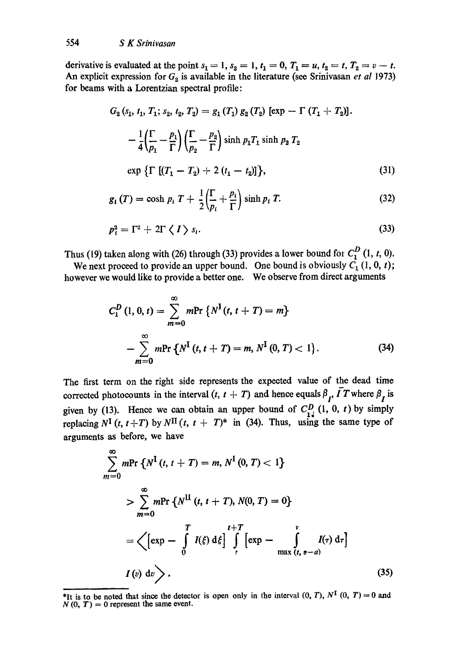derivative is evaluated at the point  $s_1 = 1$ ,  $s_2 = 1$ ,  $t_1 = 0$ ,  $T_1 = u$ ,  $t_2 = t$ ,  $T_2 = v - t$ . An explicit expression for  $G_2$  is available in the literature (see Srinivasan *et al* 1973) for beams with a Lorentzian spectral profile:

$$
G_2(s_1, t_1, T_1; s_2, t_2, T_2) = g_1(T_1) g_2(T_2) [\exp - \Gamma (T_1 + T_2)].
$$
  

$$
- \frac{1}{4} \left( \frac{\Gamma}{p_1} - \frac{p_1}{\Gamma} \right) \left( \frac{\Gamma}{p_2} - \frac{p_2}{\Gamma} \right) \sinh p_1 T_1 \sinh p_2 T_2
$$
  

$$
\exp \left\{ \Gamma \left[ (T_1 - T_2) + 2 (t_1 - t_2) \right] \right\},
$$
 (31)

$$
g_{i}(T) = \cosh p_{i} T + \frac{1}{2} \left( \frac{\Gamma}{p_{i}} + \frac{p_{i}}{\Gamma} \right) \sinh p_{i} T.
$$
 (32)

$$
p_i^2 = \Gamma^2 + 2\Gamma \langle I \rangle s_i. \tag{33}
$$

Thus (19) taken along with (26) through (33) provides a lower bound for  $C_1^D$  (1, t, 0).

We next proceed to provide an upper bound. One bound is obviously  $C_1$  (1, 0, t); however we would like to provide a better one. We observe from direct arguments

$$
C_1^D(1, 0, t) = \sum_{m=0}^{\infty} m \text{Pr} \left\{ N^I(t, t+T) = m \right\}
$$
  
- 
$$
\sum_{m=0}^{\infty} m \text{Pr} \left\{ N^I(t, t+T) = m, N^I(0, T) < 1 \right\}. \tag{34}
$$

The first term on the right side represents the expected value of the dead time corrected photocounts in the interval  $(t, t + T)$  and hence equals  $\beta_{r}$ ,  $\overline{I}T$  where  $\beta_{r}$  is given by (13). Hence we can obtain an upper bound of  $C_{\tau}^{D}$  (1, 0, t) by simply replacing  $N^{\text{I}}(t, t+T)$  by  $N^{\text{II}}(t, t+T)^*$  in (34). Thus, using the same type of arguments as before, we have

$$
\sum_{m=0}^{\infty} m \text{Pr} \{ N^{I}(t, t + T) = m, N^{I}(0, T) < 1 \}
$$
  
> 
$$
\sum_{m=0}^{\infty} m \text{Pr} \{ N^{II}(t, t + T), N(0, T) = 0 \}
$$
  
= 
$$
\left\langle \left[ \exp - \int_{0}^{T} I(\xi) d\xi \right] \int_{t}^{t+T} \left[ \exp - \int_{\max(t, \theta - a)}^{V} I(\tau) d\tau \right] \right\}
$$
  

$$
I(v) dv \right\rangle.
$$
 (35)

<sup>\*</sup>It is to be noted that since the detector is open only in the interval  $(0, T)$ ,  $N^{\text{I}}(0, T) = 0$  and  $N(0, T) = 0$  represent the same event.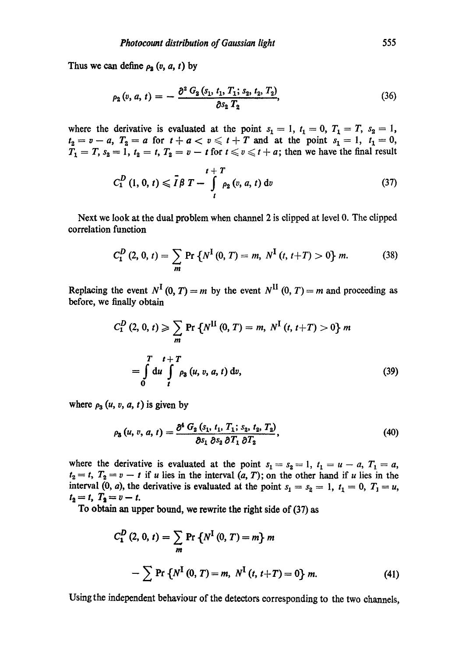Thus we can define  $\rho_2$  (v, a, t) by

$$
\rho_2(v, a, t) = -\frac{\partial^2 G_2(s_1, t_1, T_1; s_2, t_2, T_2)}{\partial s_2 T_2},
$$
\n(36)

where the derivative is evaluated at the point  $s_1 = 1$ ,  $t_1 = 0$ ,  $T_1 = T$ ,  $s_2 = 1$ ,  $t_2=v-a$ ,  $T_2=a$  for  $t+a < v \leqslant t+T$  and at the point  $s_1=1$ ,  $t_1=0$ ,  $T_1 = T$ ,  $s_2 = 1$ ,  $t_2 = t$ ,  $T_2 = v - t$  for  $t \le v \le t + a$ ; then we have the final result

$$
C_1^D(1, 0, t) \leq \bar{I} \beta T - \int\limits_t^{t+T} \rho_2(v, a, t) dv
$$
 (37)

Next we look at the dual problem when channel 2 is dipped at level 0. The dipped correlation function

$$
C_1^D(2, 0, t) = \sum_m \Pr \{ N^I(0, T) = m, N^I(t, t+T) > 0 \} m.
$$
 (38)

Replacing the event  $N^{\text{I}}$  (0, *T*) = *m* by the event  $N^{\text{II}}$  (0, *T*) = *m* and proceeding as before, we finally obtain

$$
C_1^D(2, 0, t) \geqslant \sum_m \Pr\left\{N^{II}(0, T) = m, N^I(t, t+T) > 0\right\} m
$$
  
= 
$$
\int_0^T du \int_t^T \rho_3(u, v, a, t) dv,
$$
 (39)

where  $\rho_3(u, v, a, t)$  is given by

$$
\rho_{3}(u, v, a, t) = \frac{\partial^{4} G_{2}(s_{1}, t_{1}, T_{1}; s_{2}, t_{2}, T_{2})}{\partial s_{1} \partial s_{2} \partial T_{1} \partial T_{2}},
$$
\n(40)

where the derivative is evaluated at the point  $s_1 = s_2 = 1$ ,  $t_1 = u - a$ ,  $T_1 = a$ ,  $t_2 = t$ ,  $T_2 = v - t$  if u lies in the interval  $(a, T)$ ; on the other hand if u lies in the interval (0, a), the derivative is evaluated at the point  $s_1 = s_2 = 1$ ,  $t_1 = 0$ ,  $T_1 = u$ ,  $t_2 = t$ ,  $T_2 = v - t$ .

To obtain an upper bound, we rewrite the right side of (37) as

$$
C_1^D(2, 0, t) = \sum_m \Pr \{ N^I(0, T) = m \} m
$$
  
-  $\sum \Pr \{ N^I(0, T) = m, N^I(t, t+T) = 0 \} m.$  (41)

Usingthe independent behaviour of the detectors corresponding to the two channels,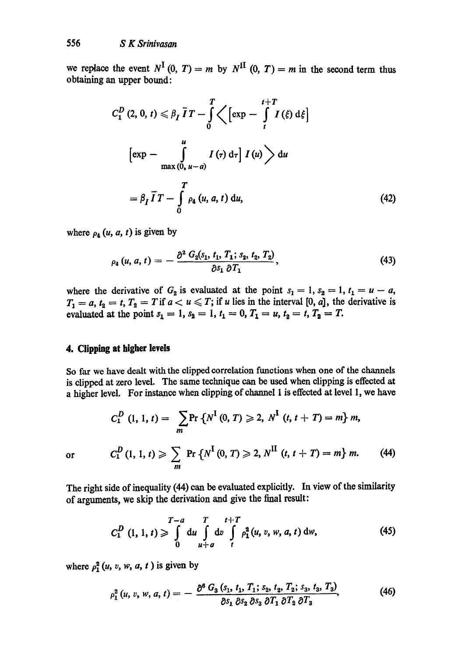we replace the event  $N^{\text{I}}(0, T) = m$  by  $N^{\text{II}}(0, T) = m$  in the second term thus obtaining an upper bound:

$$
C_1^D(2, 0, t) \leq \beta_I \overline{I}T - \int_0^T \left\langle \left[\exp - \int_t^{t+T} I(\xi) d\xi\right] \right.
$$
  

$$
\left[\exp - \int_{\max(0, u-a)}^u I(\tau) d\tau \right] I(u) \right\rangle du
$$
  

$$
= \beta_I \overline{I}T - \int_0^T \rho_4(u, a, t) du,
$$
 (42)

where  $\rho_4$   $(u, a, t)$  is given by

$$
\rho_4(u, a, t) = -\frac{\partial^2 G_2(s_1, t_1, T_1; s_2, t_2, T_2)}{\partial s_1 \, \partial T_1}, \qquad (43)
$$

where the derivative of  $G_2$  is evaluated at the point  $s_1 = 1, s_2 = 1, t_1 = u - a$ ,  $T_1 = a, t_2 = t, T_2 = T$  if  $a < u \leq T$ ; if u lies in the interval [0, a], the derivative is evaluated at the point  $s_1 = 1$ ,  $s_2 = 1$ ,  $t_1 = 0$ ,  $T_1 = u$ ,  $t_2 = t$ ,  $T_2 = T$ .

#### **4. Clipping at higher levels**

So far we have dealt with the clipped correlation functions when one of the channels is clipped at zero level. The same technique can be used when clipping is effected at a higher level. For instance when clipping of channel 1 is effected at level 1, we have

$$
C_1^D(1, 1, t) = \sum_m \Pr\left\{N^I(0, T) \ge 2, N^I(t, t + T) = m\right\} m,
$$
  
or 
$$
C_1^D(1, 1, t) \ge \sum_m \Pr\left\{N^I(0, T) \ge 2, N^{II}(t, t + T) = m\right\} m.
$$
 (44)

The right side of inequality (44) can be evaluated explicitly. In view of the similarity of arguments, we skip the derivation and give the final result:

$$
C_1^D(1, 1, t) \geqslant \int\limits_0^{T-a} du \int\limits_{u+a}^{T} dv \int\limits_t^{t+T} \rho_1^2(u, v, w, a, t) dw,
$$
 (45)

where  $\rho_1^2(u, v, w, a, t)$  is given by

$$
\rho_1^2(u, v, w, a, t) = -\frac{\partial^6 G_3(s_1, t_1, T_1; s_2, t_2, T_2; s_3, t_3, T_3)}{\partial s_1 \partial s_2 \partial s_3 \partial T_1 \partial T_2 \partial T_3},\tag{46}
$$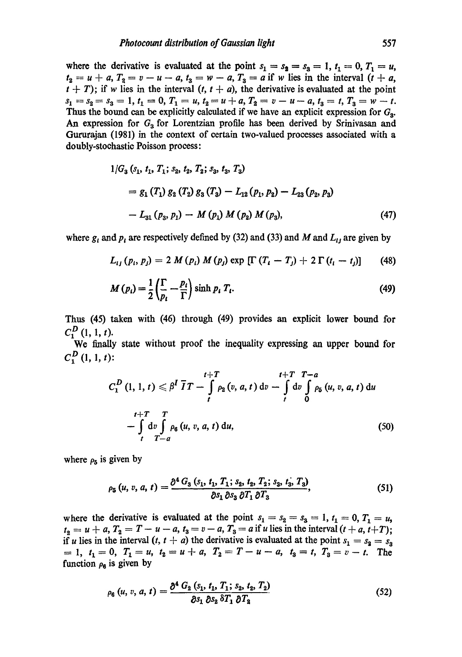where the derivative is evaluated at the point  $s_1 = s_2 = s_3 = 1$ ,  $t_1 = 0$ ,  $T_1 = u$ ,  $t_2 = u + a$ ,  $T_2 = v - u - a$ ,  $t_3 = w - a$ ,  $T_3 = a$  if w lies in the interval  $(t + a)$ ,  $t + T$ ; if w lies in the interval  $(t, t + a)$ , the derivative is evaluated at the point  $s_1 = s_2 = s_3 = 1, t_1 = 0, T_1 = u, t_2 = u + a, T_2 = v - u - a, t_3 = t, T_3 = w - t.$ Thus the bound can be explicitly calculated if we have an explicit expression for  $G_3$ . An expression for  $G<sub>3</sub>$  for Lorentzian profile has been derived by Srinivasan and Gururajan (1981) in the context of certain two-valued processes associated with a doubly-stochastic Poisson process:

$$
1/G_3 (s_1, t_1, T_1; s_2, t_2, T_2; s_3, t_3, T_3)
$$
  
=  $g_1 (T_1) g_2 (T_2) g_3 (T_3) - L_{12} (p_1, p_2) - L_{23} (p_2, p_3)$   
-  $L_{31} (p_3, p_1) - M (p_1) M (p_2) M (p_3),$  (47)

where g, and  $p_i$  are respectively defined by (32) and (33) and M and  $L_{ij}$  are given by

$$
L_{ij} (p_i, p_j) = 2 M (p_i) M (p_j) \exp [\Gamma (T_i - T_j) + 2 \Gamma (t_i - t_j)] \qquad (48)
$$

$$
M(p_i) = \frac{1}{2} \left( \frac{\Gamma}{p_i} - \frac{p_i}{\Gamma} \right) \sinh p_i \ T_i.
$$
 (49)

Thus (45) taken with (46) through (49) provides an explicit lower bound for  $C_1^D$  (1, 1, t).

We finally state without proof the inequality expressing an upper bound for  $C_1^D$  (1, 1, t):

$$
C_{1}^{D}(1, 1, t) \leq \beta^{I} \overline{I}T - \int_{t}^{t+T} \rho_{2}(v, a, t) dv - \int_{t}^{t+T} \int_{0}^{T-a} \rho_{5}(u, v, a, t) du
$$
  
- 
$$
\int_{t}^{t+T} \int_{T-a}^{T} \rho_{6}(u, v, a, t) du,
$$
 (50)

where  $\rho_5$  is given by

$$
\rho_5(u, v, a, t) = \frac{\partial^4 G_3(s_1, t_1, T_1; s_2, t_2, T_2; s_3, t_3, T_3)}{\partial s_1 \partial s_3 \partial T_1 \partial T_3},
$$
\n(51)

where the derivative is evaluated at the point  $s_1 = s_2 = s_3 = 1, t_1 = 0, T_1 = u$ ,  $t_2 = u + a$ ,  $T_2 = T - u - a$ ,  $t_3 = v - a$ ,  $T_3 = a$  if u lies in the interval  $(t + a, t + T)$ ; if u lies in the interval  $(t, t + a)$  the derivative is evaluated at the point  $s_1 = s_2 = s_3$  $=1, t_1=0, T_1=u, t_2=u+a, T_2=T-u-a, t_3=t, T_3=v-t.$  The function  $\rho_{\rm g}$  is given by

$$
\rho_6(u, v, a, t) = \frac{\partial^4 G_2(s_1, t_1, T_1; s_2, t_2, T_2)}{\partial s_1 \, \partial s_2 \, \delta T_1 \, \partial T_2}
$$
\n(52)